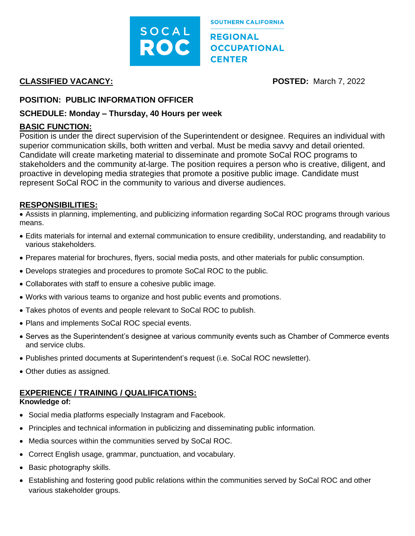

### **CLASSIFIED VACANCY: POSTED:** March 7, 2022

### **POSITION: PUBLIC INFORMATION OFFICER**

### **SCHEDULE: Monday – Thursday, 40 Hours per week**

### **BASIC FUNCTION:**

Position is under the direct supervision of the Superintendent or designee. Requires an individual with superior communication skills, both written and verbal. Must be media savvy and detail oriented. Candidate will create marketing material to disseminate and promote SoCal ROC programs to stakeholders and the community at-large. The position requires a person who is creative, diligent, and proactive in developing media strategies that promote a positive public image. Candidate must represent SoCal ROC in the community to various and diverse audiences.

**SOUTHERN CALIFORNIA** 

**OCCUPATIONAL** 

**REGIONAL** 

**CENTER** 

### **RESPONSIBILITIES:**

• Assists in planning, implementing, and publicizing information regarding SoCal ROC programs through various means.

- Edits materials for internal and external communication to ensure credibility, understanding, and readability to various stakeholders.
- Prepares material for brochures, flyers, social media posts, and other materials for public consumption.
- Develops strategies and procedures to promote SoCal ROC to the public.
- Collaborates with staff to ensure a cohesive public image.
- Works with various teams to organize and host public events and promotions.
- Takes photos of events and people relevant to SoCal ROC to publish.
- Plans and implements SoCal ROC special events.
- Serves as the Superintendent's designee at various community events such as Chamber of Commerce events and service clubs.
- Publishes printed documents at Superintendent's request (i.e. SoCal ROC newsletter).
- Other duties as assigned.

# **EXPERIENCE / TRAINING / QUALIFICATIONS:**

#### **Knowledge of:**

- Social media platforms especially Instagram and Facebook.
- Principles and technical information in publicizing and disseminating public information.
- Media sources within the communities served by SoCal ROC.
- Correct English usage, grammar, punctuation, and vocabulary.
- Basic photography skills.
- Establishing and fostering good public relations within the communities served by SoCal ROC and other various stakeholder groups.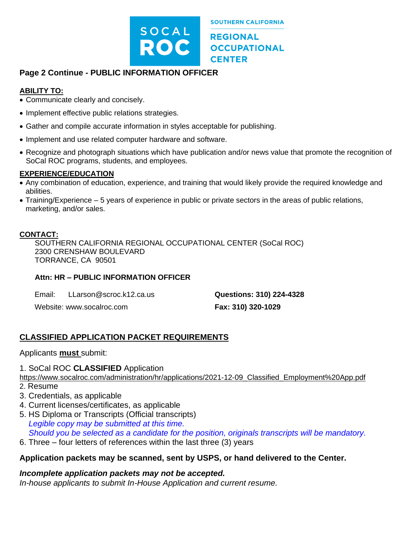

# **Page 2 Continue - PUBLIC INFORMATION OFFICER**

### **ABILITY TO:**

- Communicate clearly and concisely.
- Implement effective public relations strategies.
- Gather and compile accurate information in styles acceptable for publishing.
- Implement and use related computer hardware and software.
- Recognize and photograph situations which have publication and/or news value that promote the recognition of SoCal ROC programs, students, and employees.

**SOUTHERN CALIFORNIA** 

**OCCUPATIONAL** 

**REGIONAL** 

**CENTER** 

#### **EXPERIENCE/EDUCATION**

- Any combination of education, experience, and training that would likely provide the required knowledge and abilities.
- Training/Experience 5 years of experience in public or private sectors in the areas of public relations, marketing, and/or sales.

#### **CONTACT:**

SOUTHERN CALIFORNIA REGIONAL OCCUPATIONAL CENTER (SoCal ROC) 2300 CRENSHAW BOULEVARD TORRANCE, CA 90501

#### **Attn: HR – PUBLIC INFORMATION OFFICER**

Email: [LLarson@scroc.k12.ca.us](mailto:LLarson@scroc.k12.ca.us) **Questions: 310) 224-4328** Website: [www.socalroc.com](http://www.socalroc.com/) **Fax: 310) 320-1029**

### **CLASSIFIED APPLICATION PACKET REQUIREMENTS**

#### Applicants **must** submit:

- 1. SoCal ROC **CLASSIFIED** Application
- https://www.socalroc.com/administration/hr/applications/2021-12-09\_Classified\_Employment%20App.pdf 2. Resume
- 3. Credentials, as applicable
- 4. Current licenses/certificates, as applicable
- 5. HS Diploma or Transcripts (Official transcripts)  *Legible copy may be submitted at this time. Should you be selected as a candidate for the position, originals transcripts will be mandatory.*
- 6. Three four letters of references within the last three (3) years

#### **Application packets may be scanned, sent by USPS, or hand delivered to the Center.**

# *Incomplete application packets may not be accepted.*

*In-house applicants to submit In-House Application and current resume.*